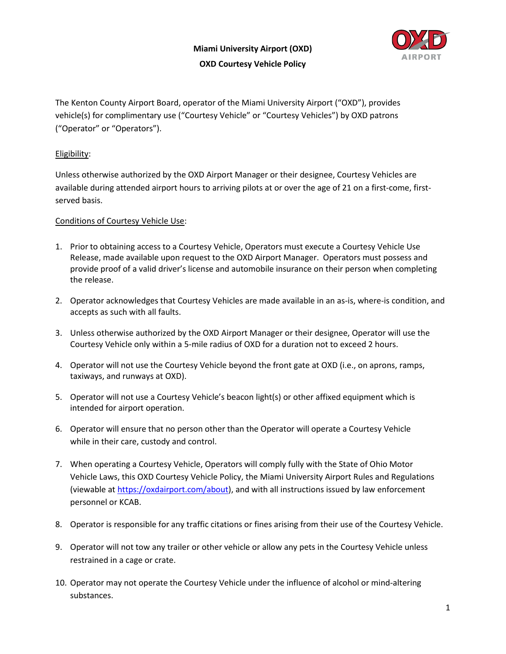

The Kenton County Airport Board, operator of the Miami University Airport ("OXD"), provides vehicle(s) for complimentary use ("Courtesy Vehicle" or "Courtesy Vehicles") by OXD patrons ("Operator" or "Operators").

## Eligibility:

Unless otherwise authorized by the OXD Airport Manager or their designee, Courtesy Vehicles are available during attended airport hours to arriving pilots at or over the age of 21 on a first-come, firstserved basis.

## Conditions of Courtesy Vehicle Use:

- 1. Prior to obtaining access to a Courtesy Vehicle, Operators must execute a Courtesy Vehicle Use Release, made available upon request to the OXD Airport Manager. Operators must possess and provide proof of a valid driver's license and automobile insurance on their person when completing the release.
- 2. Operator acknowledges that Courtesy Vehicles are made available in an as-is, where-is condition, and accepts as such with all faults.
- 3. Unless otherwise authorized by the OXD Airport Manager or their designee, Operator will use the Courtesy Vehicle only within a 5-mile radius of OXD for a duration not to exceed 2 hours.
- 4. Operator will not use the Courtesy Vehicle beyond the front gate at OXD (i.e., on aprons, ramps, taxiways, and runways at OXD).
- 5. Operator will not use a Courtesy Vehicle's beacon light(s) or other affixed equipment which is intended for airport operation.
- 6. Operator will ensure that no person other than the Operator will operate a Courtesy Vehicle while in their care, custody and control.
- 7. When operating a Courtesy Vehicle, Operators will comply fully with the State of Ohio Motor Vehicle Laws, this OXD Courtesy Vehicle Policy, the Miami University Airport Rules and Regulations (viewable at [https://oxdairport.com/about\)](https://oxdairport.com/about), and with all instructions issued by law enforcement personnel or KCAB.
- 8. Operator is responsible for any traffic citations or fines arising from their use of the Courtesy Vehicle.
- 9. Operator will not tow any trailer or other vehicle or allow any pets in the Courtesy Vehicle unless restrained in a cage or crate.
- 10. Operator may not operate the Courtesy Vehicle under the influence of alcohol or mind-altering substances.